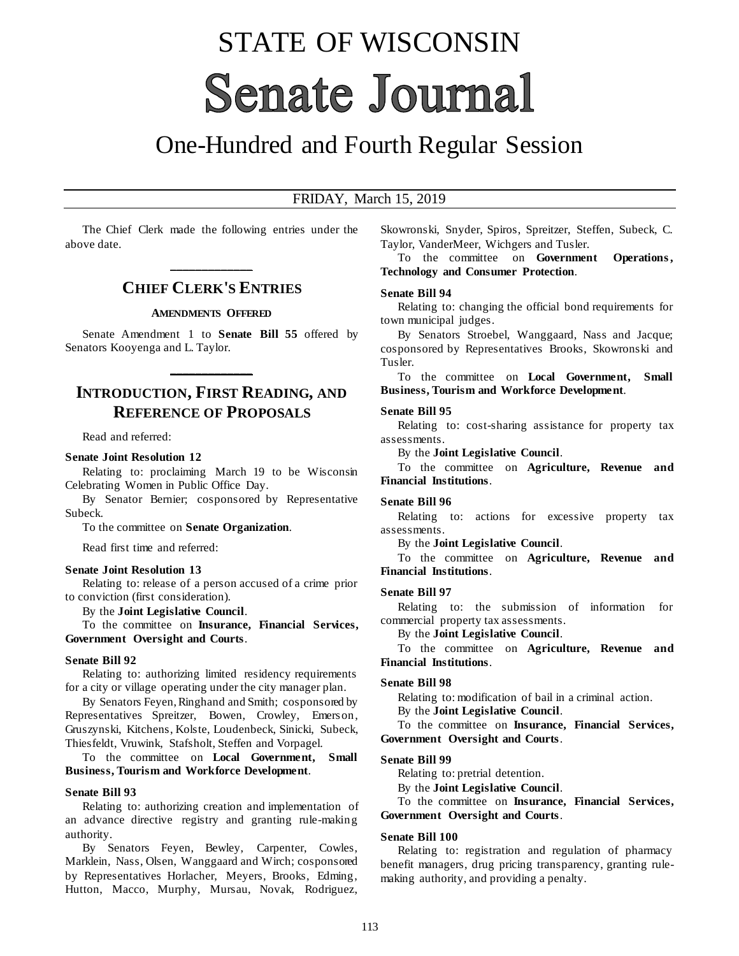# STATE OF WISCONSIN **Senate Journal**

## One-Hundred and Fourth Regular Session

#### FRIDAY, March 15, 2019

The Chief Clerk made the following entries under the above date.

## **\_\_\_\_\_\_\_\_\_\_\_\_\_ CHIEF CLERK'S ENTRIES**

#### **AMENDMENTS OFFERED**

Senate Amendment 1 to **Senate Bill 55** offered by Senators Kooyenga and L. Taylor.

**\_\_\_\_\_\_\_\_\_\_\_\_\_**

## **INTRODUCTION, FIRST READING, AND REFERENCE OF PROPOSALS**

Read and referred:

#### **Senate Joint Resolution 12**

Relating to: proclaiming March 19 to be Wisconsin Celebrating Women in Public Office Day.

By Senator Bernier; cosponsored by Representative Subeck.

To the committee on **Senate Organization**.

Read first time and referred:

#### **Senate Joint Resolution 13**

Relating to: release of a person accused of a crime prior to conviction (first consideration).

By the **Joint Legislative Council**.

To the committee on **Insurance, Financial Services, Government Oversight and Courts**.

#### **Senate Bill 92**

Relating to: authorizing limited residency requirements for a city or village operating under the city manager plan.

By Senators Feyen, Ringhand and Smith; cosponsored by Representatives Spreitzer, Bowen, Crowley, Emerson, Gruszynski, Kitchens, Kolste, Loudenbeck, Sinicki, Subeck, Thiesfeldt, Vruwink, Stafsholt, Steffen and Vorpagel.

To the committee on **Local Government, Small Business, Tourism and Workforce Development**.

#### **Senate Bill 93**

Relating to: authorizing creation and implementation of an advance directive registry and granting rule-making authority.

By Senators Feyen, Bewley, Carpenter, Cowles, Marklein, Nass, Olsen, Wanggaard and Wirch; cosponsored by Representatives Horlacher, Meyers, Brooks, Edming, Hutton, Macco, Murphy, Mursau, Novak, Rodriguez, Skowronski, Snyder, Spiros, Spreitzer, Steffen, Subeck, C. Taylor, VanderMeer, Wichgers and Tusler.

To the committee on **Government Operations , Technology and Consumer Protection**.

#### **Senate Bill 94**

Relating to: changing the official bond requirements for town municipal judges.

By Senators Stroebel, Wanggaard, Nass and Jacque; cosponsored by Representatives Brooks, Skowronski and Tusler.

To the committee on **Local Government, Small Business, Tourism and Workforce Development**.

#### **Senate Bill 95**

Relating to: cost-sharing assistance for property tax assessments.

By the **Joint Legislative Council**.

To the committee on **Agriculture, Revenue and Financial Institutions**.

#### **Senate Bill 96**

Relating to: actions for excessive property tax assessments.

By the **Joint Legislative Council**.

To the committee on **Agriculture, Revenue and Financial Institutions**.

#### **Senate Bill 97**

Relating to: the submission of information for commercial property tax assessments.

By the **Joint Legislative Council**.

To the committee on **Agriculture, Revenue and Financial Institutions**.

#### **Senate Bill 98**

Relating to: modification of bail in a criminal action.

By the **Joint Legislative Council**.

To the committee on **Insurance, Financial Services, Government Oversight and Courts**.

#### **Senate Bill 99**

Relating to: pretrial detention.

By the **Joint Legislative Council**.

To the committee on **Insurance, Financial Services, Government Oversight and Courts**.

#### **Senate Bill 100**

Relating to: registration and regulation of pharmacy benefit managers, drug pricing transparency, granting rulemaking authority, and providing a penalty.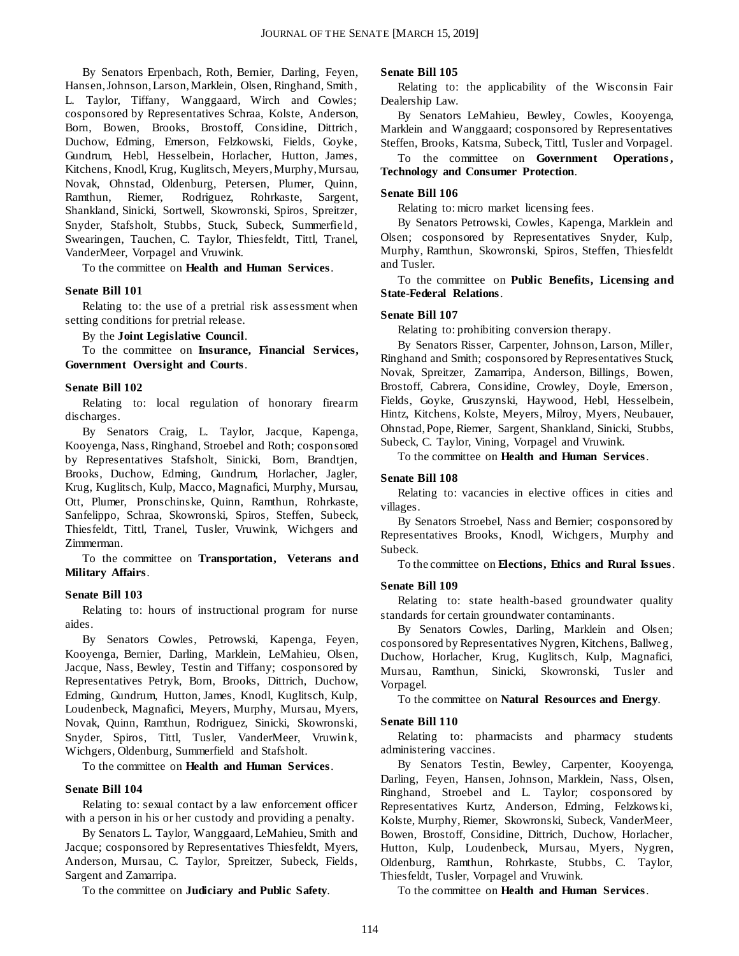By Senators Erpenbach, Roth, Bernier, Darling, Feyen, Hansen, Johnson, Larson, Marklein, Olsen, Ringhand, Smith, L. Taylor, Tiffany, Wanggaard, Wirch and Cowles; cosponsored by Representatives Schraa, Kolste, Anderson, Born, Bowen, Brooks, Brostoff, Considine, Dittrich, Duchow, Edming, Emerson, Felzkowski, Fields, Goyke, Gundrum, Hebl, Hesselbein, Horlacher, Hutton, James, Kitchens, Knodl, Krug, Kuglitsch, Meyers, Murphy, Mursau, Novak, Ohnstad, Oldenburg, Petersen, Plumer, Quinn, Ramthun, Riemer, Rodriguez, Rohrkaste, Sargent, Shankland, Sinicki, Sortwell, Skowronski, Spiros, Spreitzer, Snyder, Stafsholt, Stubbs, Stuck, Subeck, Summerfield, Swearingen, Tauchen, C. Taylor, Thiesfeldt, Tittl, Tranel, VanderMeer, Vorpagel and Vruwink.

To the committee on **Health and Human Services**.

#### **Senate Bill 101**

Relating to: the use of a pretrial risk assessment when setting conditions for pretrial release.

By the **Joint Legislative Council**.

To the committee on **Insurance, Financial Services, Government Oversight and Courts**.

#### **Senate Bill 102**

Relating to: local regulation of honorary firearm discharges.

By Senators Craig, L. Taylor, Jacque, Kapenga, Kooyenga, Nass, Ringhand, Stroebel and Roth; cosponsored by Representatives Stafsholt, Sinicki, Born, Brandtjen, Brooks, Duchow, Edming, Gundrum, Horlacher, Jagler, Krug, Kuglitsch, Kulp, Macco, Magnafici, Murphy, Mursau, Ott, Plumer, Pronschinske, Quinn, Ramthun, Rohrkaste, Sanfelippo, Schraa, Skowronski, Spiros, Steffen, Subeck, Thiesfeldt, Tittl, Tranel, Tusler, Vruwink, Wichgers and Zimmerman.

To the committee on **Transportation, Veterans and Military Affairs**.

#### **Senate Bill 103**

Relating to: hours of instructional program for nurse aides.

By Senators Cowles, Petrowski, Kapenga, Feyen, Kooyenga, Bernier, Darling, Marklein, LeMahieu, Olsen, Jacque, Nass, Bewley, Testin and Tiffany; cosponsored by Representatives Petryk, Born, Brooks, Dittrich, Duchow, Edming, Gundrum, Hutton, James, Knodl, Kuglitsch, Kulp, Loudenbeck, Magnafici, Meyers, Murphy, Mursau, Myers, Novak, Quinn, Ramthun, Rodriguez, Sinicki, Skowronski, Snyder, Spiros, Tittl, Tusler, VanderMeer, Vruwink, Wichgers, Oldenburg, Summerfield and Stafsholt.

To the committee on **Health and Human Services**.

#### **Senate Bill 104**

Relating to: sexual contact by a law enforcement officer with a person in his or her custody and providing a penalty.

By Senators L. Taylor, Wanggaard, LeMahieu, Smith and Jacque; cosponsored by Representatives Thiesfeldt, Myers, Anderson, Mursau, C. Taylor, Spreitzer, Subeck, Fields, Sargent and Zamarripa.

To the committee on **Judiciary and Public Safety**.

#### **Senate Bill 105**

Relating to: the applicability of the Wisconsin Fair Dealership Law.

By Senators LeMahieu, Bewley, Cowles, Kooyenga, Marklein and Wanggaard; cosponsored by Representatives Steffen, Brooks, Katsma, Subeck, Tittl, Tusler and Vorpagel.

To the committee on **Government Operations , Technology and Consumer Protection**.

#### **Senate Bill 106**

Relating to: micro market licensing fees.

By Senators Petrowski, Cowles, Kapenga, Marklein and Olsen; cosponsored by Representatives Snyder, Kulp, Murphy, Ramthun, Skowronski, Spiros, Steffen, Thiesfeldt and Tusler.

To the committee on **Public Benefits, Licensing and State-Federal Relations**.

#### **Senate Bill 107**

Relating to: prohibiting conversion therapy.

By Senators Risser, Carpenter, Johnson, Larson, Miller, Ringhand and Smith; cosponsored by Representatives Stuck, Novak, Spreitzer, Zamarripa, Anderson, Billings, Bowen, Brostoff, Cabrera, Considine, Crowley, Doyle, Emerson, Fields, Goyke, Gruszynski, Haywood, Hebl, Hesselbein, Hintz, Kitchens, Kolste, Meyers, Milroy, Myers, Neubauer, Ohnstad, Pope, Riemer, Sargent, Shankland, Sinicki, Stubbs, Subeck, C. Taylor, Vining, Vorpagel and Vruwink.

To the committee on **Health and Human Services**.

#### **Senate Bill 108**

Relating to: vacancies in elective offices in cities and villages.

By Senators Stroebel, Nass and Bernier; cosponsored by Representatives Brooks, Knodl, Wichgers, Murphy and Subeck.

To the committee on **Elections, Ethics and Rural Issues**.

#### **Senate Bill 109**

Relating to: state health-based groundwater quality standards for certain groundwater contaminants.

By Senators Cowles, Darling, Marklein and Olsen; cosponsored by Representatives Nygren, Kitchens, Ballweg, Duchow, Horlacher, Krug, Kuglitsch, Kulp, Magnafici, Mursau, Ramthun, Sinicki, Skowronski, Tusler and Vorpagel.

To the committee on **Natural Resources and Energy**.

#### **Senate Bill 110**

Relating to: pharmacists and pharmacy students administering vaccines.

By Senators Testin, Bewley, Carpenter, Kooyenga, Darling, Feyen, Hansen, Johnson, Marklein, Nass, Olsen, Ringhand, Stroebel and L. Taylor; cosponsored by Representatives Kurtz, Anderson, Edming, Felzkows ki, Kolste, Murphy, Riemer, Skowronski, Subeck, VanderMeer, Bowen, Brostoff, Considine, Dittrich, Duchow, Horlacher, Hutton, Kulp, Loudenbeck, Mursau, Myers, Nygren, Oldenburg, Ramthun, Rohrkaste, Stubbs, C. Taylor, Thiesfeldt, Tusler, Vorpagel and Vruwink.

To the committee on **Health and Human Services**.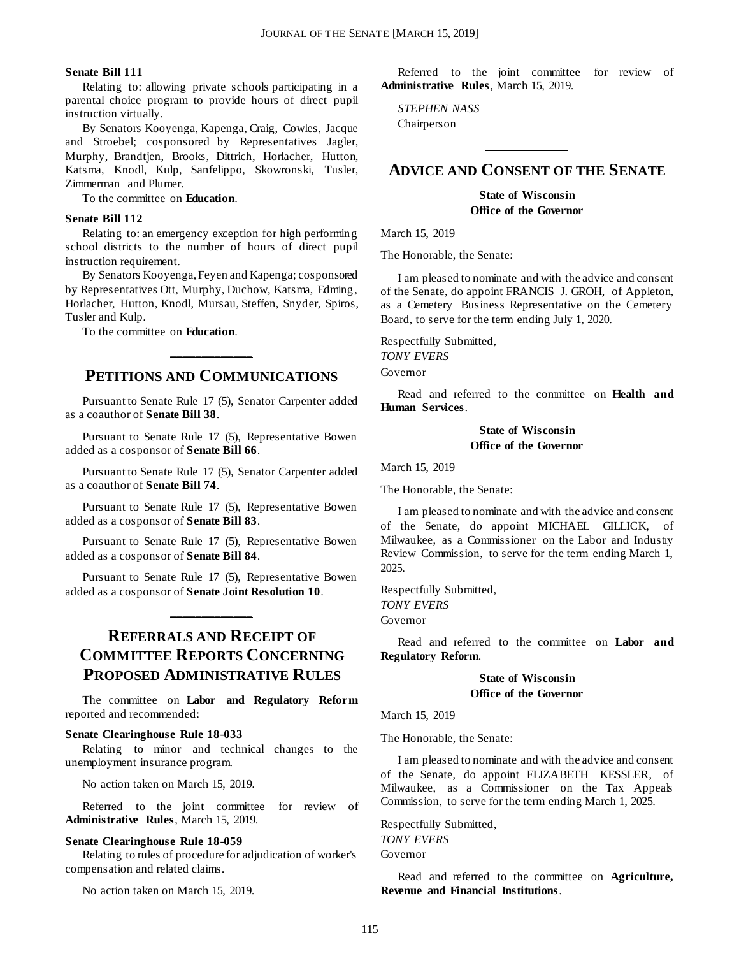#### **Senate Bill 111**

Relating to: allowing private schools participating in a parental choice program to provide hours of direct pupil instruction virtually.

By Senators Kooyenga, Kapenga, Craig, Cowles, Jacque and Stroebel; cosponsored by Representatives Jagler, Murphy, Brandtjen, Brooks, Dittrich, Horlacher, Hutton, Katsma, Knodl, Kulp, Sanfelippo, Skowronski, Tusler, Zimmerman and Plumer.

To the committee on **Education**.

#### **Senate Bill 112**

Relating to: an emergency exception for high performing school districts to the number of hours of direct pupil instruction requirement.

By Senators Kooyenga, Feyen and Kapenga; cosponsored by Representatives Ott, Murphy, Duchow, Katsma, Edming, Horlacher, Hutton, Knodl, Mursau, Steffen, Snyder, Spiros, Tusler and Kulp.

To the committee on **Education**.

## **PETITIONS AND COMMUNICATIONS**

**\_\_\_\_\_\_\_\_\_\_\_\_\_**

Pursuant to Senate Rule 17 (5), Senator Carpenter added as a coauthor of **Senate Bill 38**.

Pursuant to Senate Rule 17 (5), Representative Bowen added as a cosponsor of **Senate Bill 66**.

Pursuant to Senate Rule 17 (5), Senator Carpenter added as a coauthor of **Senate Bill 74**.

Pursuant to Senate Rule 17 (5), Representative Bowen added as a cosponsor of **Senate Bill 83**.

Pursuant to Senate Rule 17 (5), Representative Bowen added as a cosponsor of **Senate Bill 84**.

Pursuant to Senate Rule 17 (5), Representative Bowen added as a cosponsor of **Senate Joint Resolution 10**.

**\_\_\_\_\_\_\_\_\_\_\_\_\_**

## **REFERRALS AND RECEIPT OF COMMITTEE REPORTS CONCERNING PROPOSED ADMINISTRATIVE RULES**

The committee on **Labor and Regulatory Reform** reported and recommended:

#### **Senate Clearinghouse Rule 18-033**

Relating to minor and technical changes to the unemployment insurance program.

No action taken on March 15, 2019.

Referred to the joint committee for review of **Administrative Rules**, March 15, 2019.

#### **Senate Clearinghouse Rule 18-059**

Relating to rules of procedure for adjudication of worker's compensation and related claims.

No action taken on March 15, 2019.

Referred to the joint committee for review of **Administrative Rules**, March 15, 2019.

*STEPHEN NASS* Chairperson

### **ADVICE AND CONSENT OF THE SENATE**

**\_\_\_\_\_\_\_\_\_\_\_\_\_**

**State of Wisconsin Office of the Governor**

March 15, 2019

The Honorable, the Senate:

I am pleased to nominate and with the advice and consent of the Senate, do appoint FRANCIS J. GROH, of Appleton, as a Cemetery Business Representative on the Cemetery Board, to serve for the term ending July 1, 2020.

Respectfully Submitted, *TONY EVERS*

Governor

Read and referred to the committee on **Health and Human Services**.

#### **State of Wisconsin Office of the Governor**

March 15, 2019

The Honorable, the Senate:

I am pleased to nominate and with the advice and consent of the Senate, do appoint MICHAEL GILLICK, of Milwaukee, as a Commissioner on the Labor and Industry Review Commission, to serve for the term ending March 1, 2025.

Respectfully Submitted, *TONY EVERS* Governor

Read and referred to the committee on **Labor and Regulatory Reform**.

#### **State of Wisconsin Office of the Governor**

#### March 15, 2019

The Honorable, the Senate:

I am pleased to nominate and with the advice and consent of the Senate, do appoint ELIZABETH KESSLER, of Milwaukee, as a Commissioner on the Tax Appeals Commission, to serve for the term ending March 1, 2025.

Respectfully Submitted, *TONY EVERS* Governor

Read and referred to the committee on **Agriculture, Revenue and Financial Institutions**.